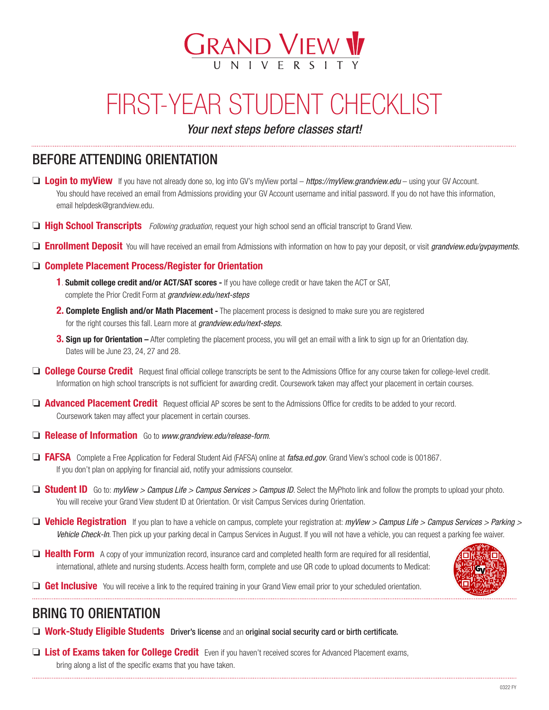

# FIRST-YEAR STUDENT CHECKLIST

*Your next steps before classes start!*

## BEFORE ATTENDING ORIENTATION

- **□ Login to myView** If you have not already done so, log into GV's myView portal *https://myView.grandview.edu* using your GV Account. You should have received an email from Admissions providing your GV Account username and initial password. If you do not have this information, email helpdesk@grandview.edu.
- **High School Transcripts** *Following graduation*, request your high school send an official transcript to Grand View.
- o Enrollment Deposit You will have received an email from Admissions with information on how to pay your deposit, or visit *grandview.edu/gvpayments.*

#### $\Box$  Complete Placement Process/Register for Orientation

- 1. Submit college credit and/or ACT/SAT scores If you have college credit or have taken the ACT or SAT, complete the Prior Credit Form at *grandview.edu/next-steps*
- 2. Complete English and/or Math Placement The placement process is designed to make sure you are registered for the right courses this fall. Learn more at *grandview.edu/next-steps.*
- **3. Sign up for Orientation** After completing the placement process, you will get an email with a link to sign up for an Orientation day. Dates will be June 23, 24, 27 and 28.
- **College Course Credit** Request final official college transcripts be sent to the Admissions Office for any course taken for college-level credit. Information on high school transcripts is not sufficient for awarding credit. Coursework taken may affect your placement in certain courses.
- **D** Advanced Placement Credit Request official AP scores be sent to the Admissions Office for credits to be added to your record. Coursework taken may affect your placement in certain courses.
- **<u>Example 25 Release of Information</u>** Go to *www.grandview.edu/release-form.*
- □ FAFSA Complete a Free Application for Federal Student Aid (FAFSA) online at *fafsa.ed.gov*. Grand View's school code is 001867. If you don't plan on applying for financial aid, notify your admissions counselor.
- $\Box$  **Student ID** Go to: *myView > Campus Life > Campus Services > Campus ID*. Select the MyPhoto link and follow the prompts to upload your photo. You will receive your Grand View student ID at Orientation. Or visit Campus Services during Orientation.
- □ **Vehicle Registration** If you plan to have a vehicle on campus, complete your registration at: *myView > Campus Life > Campus Services > Parking > Vehicle Check-In*. Then pick up your parking decal in Campus Services in August. If you will not have a vehicle, you can request a parking fee waiver.
- $\Box$  Health Form A copy of your immunization record, insurance card and completed health form are required for all residential. international, athlete and nursing students. Access health form, complete and use QR code to upload documents to Medicat:



Get Inclusive You will receive a link to the required training in your Grand View email prior to your scheduled orientation.

### BRING TO ORIENTATION

- $\Box$  Work-Study Eligible Students Driver's license and an original social security card or birth certificate.
- **List of Exams taken for College Credit** Even if you haven't received scores for Advanced Placement exams, bring along a list of the specific exams that you have taken.